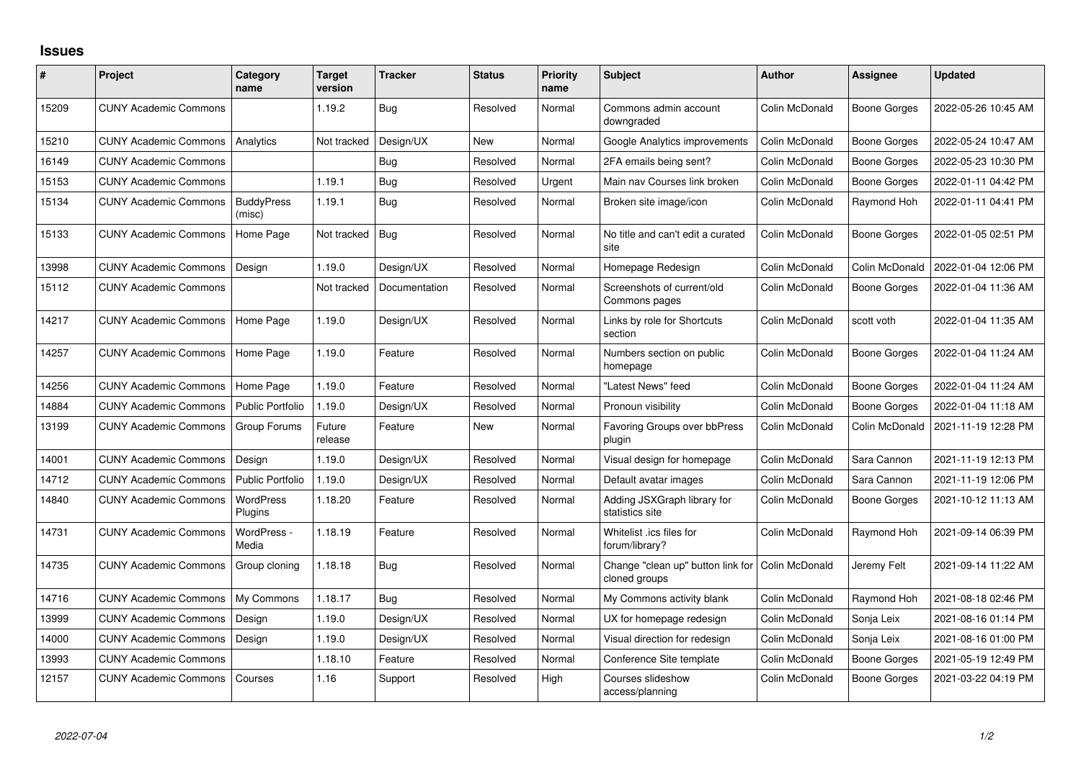## **Issues**

| #     | Project                      | Category<br>name            | <b>Target</b><br>version | <b>Tracker</b> | <b>Status</b> | Priority<br>name | <b>Subject</b>                                     | <b>Author</b>  | Assignee            | <b>Updated</b>      |
|-------|------------------------------|-----------------------------|--------------------------|----------------|---------------|------------------|----------------------------------------------------|----------------|---------------------|---------------------|
| 15209 | <b>CUNY Academic Commons</b> |                             | 1.19.2                   | Bug            | Resolved      | Normal           | Commons admin account<br>downgraded                | Colin McDonald | Boone Gorges        | 2022-05-26 10:45 AM |
| 15210 | <b>CUNY Academic Commons</b> | Analytics                   | Not tracked              | Design/UX      | <b>New</b>    | Normal           | Google Analytics improvements                      | Colin McDonald | <b>Boone Gorges</b> | 2022-05-24 10:47 AM |
| 16149 | <b>CUNY Academic Commons</b> |                             |                          | Bug            | Resolved      | Normal           | 2FA emails being sent?                             | Colin McDonald | <b>Boone Gorges</b> | 2022-05-23 10:30 PM |
| 15153 | <b>CUNY Academic Commons</b> |                             | 1.19.1                   | Bug            | Resolved      | Urgent           | Main nav Courses link broken                       | Colin McDonald | <b>Boone Gorges</b> | 2022-01-11 04:42 PM |
| 15134 | <b>CUNY Academic Commons</b> | <b>BuddyPress</b><br>(misc) | 1.19.1                   | Bug            | Resolved      | Normal           | Broken site image/icon                             | Colin McDonald | Raymond Hoh         | 2022-01-11 04:41 PM |
| 15133 | <b>CUNY Academic Commons</b> | Home Page                   | Not tracked              | Bug            | Resolved      | Normal           | No title and can't edit a curated<br>site          | Colin McDonald | <b>Boone Gorges</b> | 2022-01-05 02:51 PM |
| 13998 | <b>CUNY Academic Commons</b> | Design                      | 1.19.0                   | Design/UX      | Resolved      | Normal           | Homepage Redesign                                  | Colin McDonald | Colin McDonald      | 2022-01-04 12:06 PM |
| 15112 | <b>CUNY Academic Commons</b> |                             | Not tracked              | Documentation  | Resolved      | Normal           | Screenshots of current/old<br>Commons pages        | Colin McDonald | <b>Boone Gorges</b> | 2022-01-04 11:36 AM |
| 14217 | <b>CUNY Academic Commons</b> | Home Page                   | 1.19.0                   | Design/UX      | Resolved      | Normal           | Links by role for Shortcuts<br>section             | Colin McDonald | scott voth          | 2022-01-04 11:35 AM |
| 14257 | <b>CUNY Academic Commons</b> | Home Page                   | 1.19.0                   | Feature        | Resolved      | Normal           | Numbers section on public<br>homepage              | Colin McDonald | Boone Gorges        | 2022-01-04 11:24 AM |
| 14256 | <b>CUNY Academic Commons</b> | Home Page                   | 1.19.0                   | Feature        | Resolved      | Normal           | "Latest News" feed                                 | Colin McDonald | Boone Gorges        | 2022-01-04 11:24 AM |
| 14884 | <b>CUNY Academic Commons</b> | <b>Public Portfolio</b>     | 1.19.0                   | Design/UX      | Resolved      | Normal           | Pronoun visibility                                 | Colin McDonald | <b>Boone Gorges</b> | 2022-01-04 11:18 AM |
| 13199 | <b>CUNY Academic Commons</b> | Group Forums                | Future<br>release        | Feature        | <b>New</b>    | Normal           | <b>Favoring Groups over bbPress</b><br>plugin      | Colin McDonald | Colin McDonald      | 2021-11-19 12:28 PM |
| 14001 | <b>CUNY Academic Commons</b> | Design                      | 1.19.0                   | Design/UX      | Resolved      | Normal           | Visual design for homepage                         | Colin McDonald | Sara Cannon         | 2021-11-19 12:13 PM |
| 14712 | <b>CUNY Academic Commons</b> | <b>Public Portfolio</b>     | 1.19.0                   | Design/UX      | Resolved      | Normal           | Default avatar images                              | Colin McDonald | Sara Cannon         | 2021-11-19 12:06 PM |
| 14840 | <b>CUNY Academic Commons</b> | WordPress<br>Plugins        | 1.18.20                  | Feature        | Resolved      | Normal           | Adding JSXGraph library for<br>statistics site     | Colin McDonald | <b>Boone Gorges</b> | 2021-10-12 11:13 AM |
| 14731 | <b>CUNY Academic Commons</b> | WordPress -<br>Media        | 1.18.19                  | Feature        | Resolved      | Normal           | Whitelist .ics files for<br>forum/library?         | Colin McDonald | Raymond Hoh         | 2021-09-14 06:39 PM |
| 14735 | <b>CUNY Academic Commons</b> | Group cloning               | 1.18.18                  | Bug            | Resolved      | Normal           | Change "clean up" button link for<br>cloned groups | Colin McDonald | Jeremy Felt         | 2021-09-14 11:22 AM |
| 14716 | <b>CUNY Academic Commons</b> | My Commons                  | 1.18.17                  | Bug            | Resolved      | Normal           | My Commons activity blank                          | Colin McDonald | Raymond Hoh         | 2021-08-18 02:46 PM |
| 13999 | <b>CUNY Academic Commons</b> | Design                      | 1.19.0                   | Design/UX      | Resolved      | Normal           | UX for homepage redesign                           | Colin McDonald | Sonja Leix          | 2021-08-16 01:14 PM |
| 14000 | <b>CUNY Academic Commons</b> | Design                      | 1.19.0                   | Design/UX      | Resolved      | Normal           | Visual direction for redesign                      | Colin McDonald | Sonja Leix          | 2021-08-16 01:00 PM |
| 13993 | <b>CUNY Academic Commons</b> |                             | 1.18.10                  | Feature        | Resolved      | Normal           | Conference Site template                           | Colin McDonald | Boone Gorges        | 2021-05-19 12:49 PM |
| 12157 | <b>CUNY Academic Commons</b> | Courses                     | 1.16                     | Support        | Resolved      | High             | Courses slideshow<br>access/planning               | Colin McDonald | Boone Gorges        | 2021-03-22 04:19 PM |